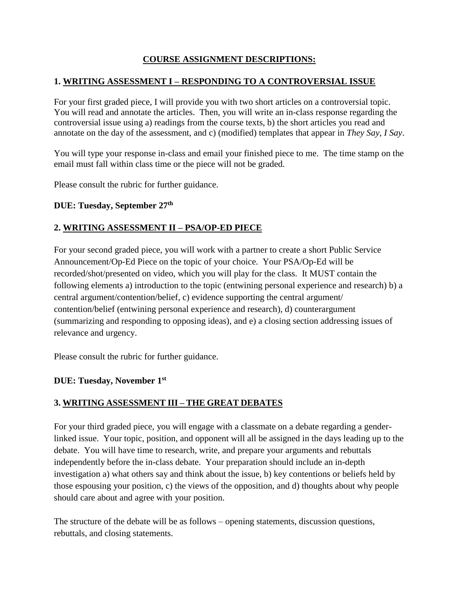# **COURSE ASSIGNMENT DESCRIPTIONS:**

# **1. WRITING ASSESSMENT I – RESPONDING TO A CONTROVERSIAL ISSUE**

For your first graded piece, I will provide you with two short articles on a controversial topic. You will read and annotate the articles. Then, you will write an in-class response regarding the controversial issue using a) readings from the course texts, b) the short articles you read and annotate on the day of the assessment, and c) (modified) templates that appear in *They Say, I Say*.

You will type your response in-class and email your finished piece to me. The time stamp on the email must fall within class time or the piece will not be graded.

Please consult the rubric for further guidance.

#### **DUE: Tuesday, September 27th**

### **2. WRITING ASSESSMENT II – PSA/OP-ED PIECE**

For your second graded piece, you will work with a partner to create a short Public Service Announcement/Op-Ed Piece on the topic of your choice. Your PSA/Op-Ed will be recorded/shot/presented on video, which you will play for the class. It MUST contain the following elements a) introduction to the topic (entwining personal experience and research) b) a central argument/contention/belief, c) evidence supporting the central argument/ contention/belief (entwining personal experience and research), d) counterargument (summarizing and responding to opposing ideas), and e) a closing section addressing issues of relevance and urgency.

Please consult the rubric for further guidance.

### **DUE: Tuesday, November 1st**

### **3. WRITING ASSESSMENT III – THE GREAT DEBATES**

For your third graded piece, you will engage with a classmate on a debate regarding a genderlinked issue. Your topic, position, and opponent will all be assigned in the days leading up to the debate. You will have time to research, write, and prepare your arguments and rebuttals independently before the in-class debate. Your preparation should include an in-depth investigation a) what others say and think about the issue, b) key contentions or beliefs held by those espousing your position, c) the views of the opposition, and d) thoughts about why people should care about and agree with your position.

The structure of the debate will be as follows – opening statements, discussion questions, rebuttals, and closing statements.